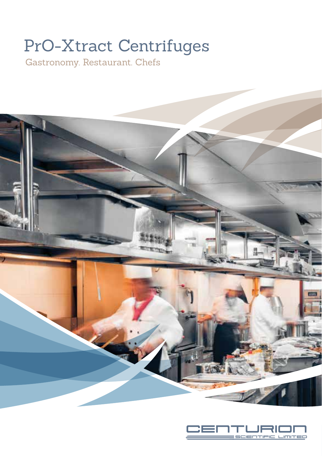# PrO-Xtract Centrifuges

Gastronomy. Restaurant. Chefs



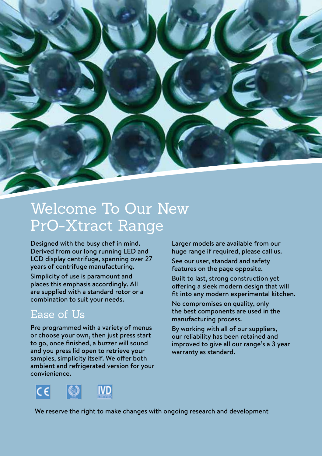

# Welcome To Our New PrO-Xtract Range

Designed with the busy chef in mind. Derived from our long running LED and LCD display centrifuge, spanning over 27 years of centrifuge manufacturing.

Simplicity of use is paramount and places this emphasis accordingly. All are supplied with a standard rotor or a combination to suit your needs.

### Ease of Us

Pre programmed with a variety of menus or choose your own, then just press start to go, once finished, a buzzer will sound and you press lid open to retrieve your samples, simplicity itself. We offer both ambient and refrigerated version for your convienience.

Larger models are available from our huge range if required, please call us.

See our user, standard and safety features on the page opposite.

Built to last, strong construction yet offering a sleek modern design that will fit into any modern experimental kitchen.

No compromises on quality, only the best components are used in the manufacturing process.

By working with all of our suppliers, our reliability has been retained and improved to give all our range's a 3 year warranty as standard.



We reserve the right to make changes with ongoing research and development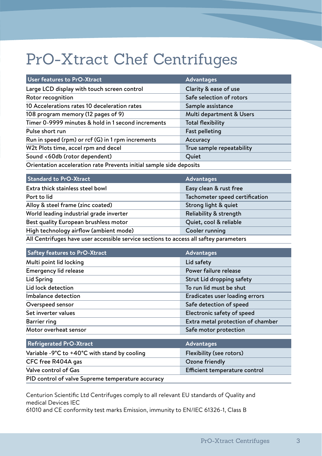# PrO-Xtract Chef Centrifuges

| User features to PrO-Xtract                                         | <b>Advantages</b>         |  |
|---------------------------------------------------------------------|---------------------------|--|
| Large LCD display with touch screen control                         | Clarity & ease of use     |  |
| Rotor recognition                                                   | Safe selection of rotors  |  |
| 10 Accelerations rates 10 deceleration rates                        | Sample assistance         |  |
| 108 program memory (12 pages of 9)                                  | Multi department & Users  |  |
| Timer 0-9999 minutes & hold in 1 second increments                  | <b>Total flexibility</b>  |  |
| Pulse short run                                                     | <b>Fast pelleting</b>     |  |
| Run in speed (rpm) or rcf (G) in 1 rpm increments                   | Accuracy                  |  |
| W2t Plots time, accel rpm and decel                                 | True sample repeatability |  |
| Sound <60db (rotor dependent)                                       | Quiet                     |  |
| Orientation acceleration rate Prevents initial sample side deposits |                           |  |

| <b>Standard to PrO-Xtract</b>                                                         | Advantages                     |  |
|---------------------------------------------------------------------------------------|--------------------------------|--|
| Extra thick stainless steel bowl                                                      | Easy clean & rust free         |  |
| Port to lid                                                                           | Tachometer speed certification |  |
| Alloy & steel frame (zinc coated)                                                     | Strong light & quiet           |  |
| World leading industrial grade inverter                                               | Reliability & strength         |  |
| Best quality European brushless motor                                                 | Quiet, cool & reliable         |  |
| High technology airflow (ambient mode)                                                | Cooler running                 |  |
| All Centrifuges have user accessible service sections to access all saftey parameters |                                |  |

| <b>Saftey features to PrO-Xtract</b>                               | <b>Advantages</b>                 |
|--------------------------------------------------------------------|-----------------------------------|
| Multi point lid locking                                            | Lid safety                        |
| Emergency lid release                                              | Power failure release             |
| Lid Spring                                                         | Strut Lid dropping safety         |
| Lid lock detection                                                 | To run lid must be shut           |
| Imbalance detection                                                | Eradicates user loading errors    |
| Overspeed sensor                                                   | Safe detection of speed           |
| Set inverter values                                                | Electronic safety of speed        |
| Barrier ring                                                       | Extra metal protection of chamber |
| Motor overheat sensor                                              | Safe motor protection             |
|                                                                    |                                   |
| <b>Refrigerated PrO-Xtract</b>                                     | <b>Advantages</b>                 |
| Variable -9 $^{\circ}$ C to +40 $^{\circ}$ C with stand by cooling | Flexibility (see rotors)          |
| CFC free R404A gas                                                 | Ozone friendly                    |

Centurion Scientific Ltd Centrifuges comply to all relevant EU standards of Quality and medical Devices IEC

Valve control of Gas **Efficient temperature control** 

61010 and CE conformity test marks Emission, immunity to EN/IEC 61326-1, Class B

PID control of valve Supreme temperature accuracy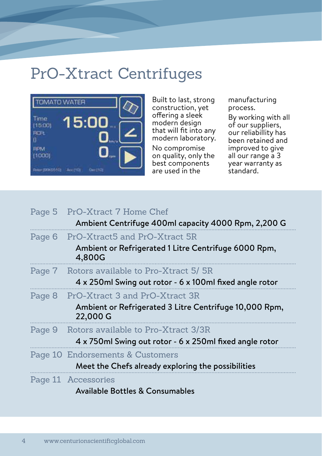# PrO-Xtract Centrifuges



Built to last, strong construction, yet offering a sleek modern design that will fit into any modern laboratory.

No compromise on quality, only the best components are used in the

manufacturing process.

By working with all of our suppliers, our reliabillity has been retained and improved to give all our range a 3 year warranty as standard.

| Page 5 PrO-Xtract 7 Home Chef                                      |
|--------------------------------------------------------------------|
| Ambient Centrifuge 400ml capacity 4000 Rpm, 2,200 G                |
| Page 6 PrO-Xtract5 and PrO-Xtract 5R                               |
| Ambient or Refrigerated 1 Litre Centrifuge 6000 Rpm,<br>4,800G     |
| Page 7 Rotors available to Pro-Xtract 5/5R                         |
| 4 x 250ml Swing out rotor - 6 x 100ml fixed angle rotor            |
| Page 8 PrO-Xtract 3 and PrO-Xtract 3R                              |
| Ambient or Refrigerated 3 Litre Centrifuge 10,000 Rpm,<br>22,000 G |
| Page 9 Rotors available to Pro-Xtract 3/3R                         |
| 4 x 750ml Swing out rotor - 6 x 250ml fixed angle rotor            |
| Page 10 Endorsements & Customers                                   |
| Meet the Chefs already exploring the possibilities                 |
| Page 11 Accessories                                                |
| Available Bottles & Consumables                                    |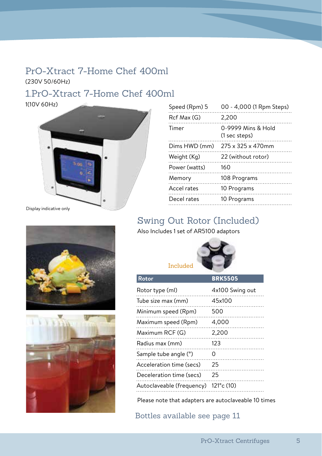#### PrO-Xtract 7-Home Chef 400ml (230V 50/60Hz)

#### 1.PrO-Xtract 7-Home Chef 400ml

1(10V 60Hz)



| Speed (Rpm) 5 | 00 - 4,000 (1 Rpm Steps)            |
|---------------|-------------------------------------|
| Rcf Max (G)   | 2,200                               |
| Timer         | 0-9999 Mins & Hold<br>(1 sec steps) |
| Dims HWD (mm) | 275 x 325 x 470mm                   |
| Weight (Kg)   | 22 (without rotor)                  |
| Power (watts) | 160                                 |
| Memory        | 108 Programs                        |
| Accel rates   | 10 Programs                         |
| Decel rates   | 10 Programs                         |
|               |                                     |

#### Swing Out Rotor (Included)

Also Includes 1 set of AR5100 adaptors



| Rotor                     | <b>BRK5505</b>         |
|---------------------------|------------------------|
| Rotor type (ml)           | 4x100 Swing out        |
| Tube size max (mm)        | 45x100                 |
| Minimum speed (Rpm)       | 500                    |
| Maximum speed (Rpm)       | 4,000                  |
| Maximum RCF (G)           | 2,200                  |
| Radius max (mm)           | 123                    |
| Sample tube angle (°)     | Ω                      |
| Acceleration time (secs)  | 25                     |
| Deceleration time (secs)  | 25                     |
| Autoclaveable (frequency) | $121^{\circ}$ c $(10)$ |

Please note that adapters are autoclaveable 10 times

Bottles available see page 11



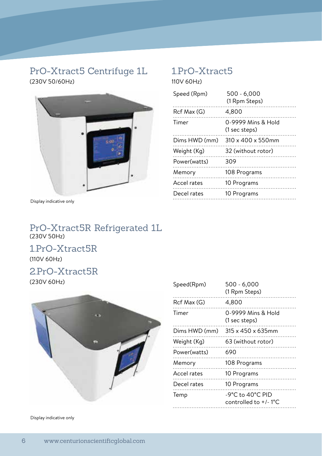#### PrO-Xtract5 Centrifuge 1L 1.PrO-Xtract5 (230V 50/60Hz) 110V 60Hz)



Display indicative only

| Speed (Rpm)   | $500 - 6,000$<br>(1 Rpm Steps)      |
|---------------|-------------------------------------|
| Rcf Max (G)   | 4.800                               |
| Timer         | 0-9999 Mins & Hold<br>(1 sec steps) |
| Dims HWD (mm) | 310 x 400 x 550mm                   |
| Weight (Kg)   | 32 (without rotor)                  |
| Power(watts)  | 309                                 |
| Memory        | 108 Programs                        |
| Accel rates   | 10 Programs                         |
| Decel rates   | 10 Programs                         |
|               |                                     |

#### PrO-Xtract5R Refrigerated 1L (230V 50Hz)

1.PrO-Xtract5R (110V 60Hz)

#### 2.PrO-Xtract5R

(230V 60Hz)



Display indicative only

| Speed(Rpm)    | 500 - 6,000<br>(1 Rpm Steps)                                                 |
|---------------|------------------------------------------------------------------------------|
| Rcf Max (G)   | 4,800                                                                        |
| Timer         | 0-9999 Mins & Hold<br>(1 sec steps)                                          |
| Dims HWD (mm) | $315 \times 450 \times 635$ mm                                               |
| Weight (Kg)   | 63 (without rotor)                                                           |
| Power(watts)  | 690                                                                          |
| Memory        | 108 Programs                                                                 |
| Accel rates   | 10 Programs                                                                  |
| Decel rates   | 10 Programs                                                                  |
| Temp          | $-9^{\circ}$ C to 40 $^{\circ}$ C PID<br>controlled to $+/-1$ <sup>o</sup> C |
|               |                                                                              |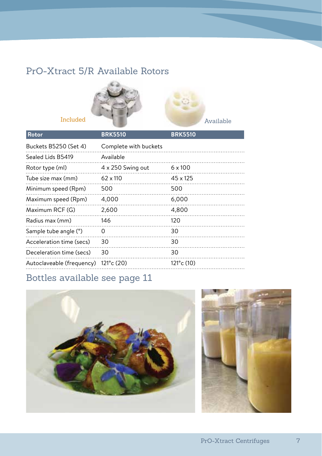#### PrO-Xtract 5/R Available Rotors



| Rotor                     | <b>BRK5510</b>           | <b>BRK5510</b>         |
|---------------------------|--------------------------|------------------------|
| Buckets B5250 (Set 4)     | Complete with buckets    |                        |
| Sealed Lids B5419         | Available                |                        |
| Rotor type (ml)           | $4 \times 250$ Swing out | $6 \times 100$         |
| Tube size max (mm)        | $62 \times 110$          | $45 \times 125$        |
| Minimum speed (Rpm)       | 500                      | 500                    |
| Maximum speed (Rpm)       | 4,000                    | 6,000                  |
| Maximum RCF (G)           | 2,600                    | 4,800                  |
| Radius max (mm)           | 146                      | 120                    |
| Sample tube angle (°)     | $\Omega$                 | 30                     |
| Acceleration time (secs)  | 30                       | 30                     |
| Deceleration time (secs)  | 30                       | 30                     |
| Autoclaveable (frequency) | $121^{\circ}$ c $(20)$   | $121^{\circ}$ c $(10)$ |

## Bottles available see page 11



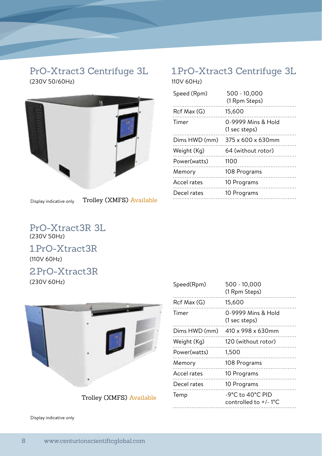# (230V 50/60Hz) 110V 60Hz)



Display indicative only

Trolley (XMFS) Available

#### PrO-Xtract3 Centrifuge 3L 1.PrO-Xtract3 Centrifuge 3L

| Speed (Rpm)   | $500 - 10,000$<br>(1 Rpm Steps) |
|---------------|---------------------------------|
| Rcf Max (G)   | 15,600                          |
| Timer         | 0-9999 Mins & Hold              |
|               | (1 sec steps)                   |
| Dims HWD (mm) | $375 \times 600 \times 630$ mm  |
| Weight (Kg)   | 64 (without rotor)              |
| Power(watts)  | 1100                            |
| Memory        | 108 Programs                    |
| Accel rates   | 10 Programs                     |
| Decel rates   | 10 Programs                     |
|               |                                 |

PrO-Xtract3R 3L (230V 50Hz)

#### 1.PrO-Xtract3R

(110V 60Hz)

#### 2.PrO-Xtract3R

(230V 60Hz)



Trolley (XMFS) Available

| Speed(Rpm)    | 500 - 10,000<br>(1 Rpm Steps)                           |
|---------------|---------------------------------------------------------|
| Rcf Max (G)   | 15,600                                                  |
| Timer         | 0-9999 Mins & Hold<br>(1 sec steps)                     |
| Dims HWD (mm) | 410 x 998 x 630mm                                       |
| Weight (Kg)   | 120 (without rotor)                                     |
| Power(watts)  | 1,500                                                   |
| Memory        | 108 Programs                                            |
| Accel rates   | 10 Programs                                             |
| Decel rates   | 10 Programs                                             |
| Temp          | -9°C to 40°C PID<br>controlled to $+/-1$ <sup>o</sup> C |
|               |                                                         |

Display indicative only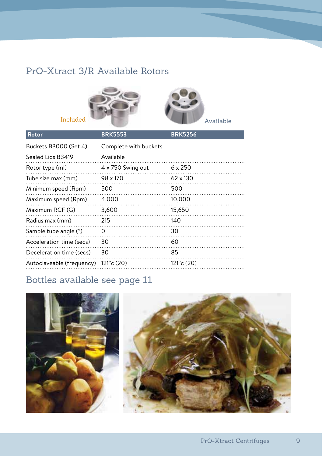#### PrO-Xtract 3/R Available Rotors



| Rotor                     | <b>BRK5553</b>           | <b>BRK5256</b>         |
|---------------------------|--------------------------|------------------------|
| Buckets B3000 (Set 4)     | Complete with buckets    |                        |
| Sealed Lids B3419         | Available                |                        |
| Rotor type (ml)           | $4 \times 750$ Swing out | $6 \times 250$         |
| Tube size max (mm)        | 98 x 170                 | $62 \times 130$        |
| Minimum speed (Rpm)       | 500                      | 500                    |
| Maximum speed (Rpm)       | 4,000                    | 10,000                 |
| Maximum RCF (G)           | 3,600                    | 15,650                 |
| Radius max (mm)           | 215                      | 140                    |
| Sample tube angle (°)     | $\Omega$                 | 30                     |
| Acceleration time (secs)  | 30                       | 60                     |
| Deceleration time (secs)  | 30                       | 85                     |
| Autoclaveable (frequency) | $121^{\circ}$ c $(20)$   | $121^{\circ}$ c $(20)$ |

## Bottles available see page 11



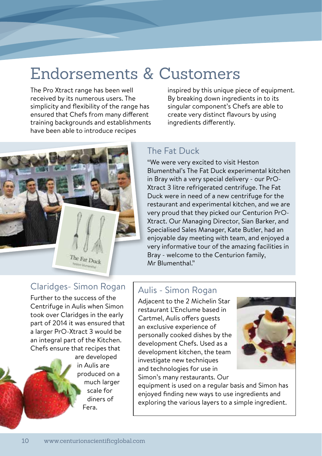# Endorsements & Customers

The Pro Xtract range has been well received by its numerous users. The simplicity and flexibility of the range has ensured that Chefs from many different training backgrounds and establishments have been able to introduce recipes

inspired by this unique piece of equipment. By breaking down ingredients in to its singular component's Chefs are able to create very distinct flavours by using ingredients differently.

#### The Fat Duck

"We were very excited to visit Heston Blumenthal's The Fat Duck experimental kitchen in Bray with a very special delivery - our PrO-Xtract 3 litre refrigerated centrifuge. The Fat Duck were in need of a new centrifuge for the restaurant and experimental kitchen, and we are very proud that they picked our Centurion PrO-Xtract. Our Managing Director, Sian Barker, and Specialised Sales Manager, Kate Butler, had an enjoyable day meeting with team, and enjoyed a very informative tour of the amazing facilities in Bray - welcome to the Centurion family, Mr Blumenthal."

#### Claridges- Simon Rogan

The Fat Duck

Further to the success of the Centrifuge in Aulis when Simon took over Claridges in the early part of 2014 it was ensured that a larger PrO-Xtract 3 would be an integral part of the Kitchen. Chefs ensure that recipes that

> are developed in Aulis are produced on a much larger scale for diners of Fera.

#### Aulis - Simon Rogan

Adjacent to the 2 Michelin Star restaurant L'Enclume based in Cartmel, Aulis offers guests an exclusive experience of personally cooked dishes by the development Chefs. Used as a development kitchen, the team investigate new techniques and technologies for use in Simon's many restaurants. Our



equipment is used on a regular basis and Simon has enjoyed finding new ways to use ingredients and exploring the various layers to a simple ingredient.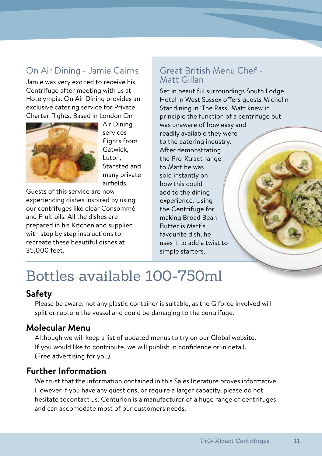#### On Air Dining - Jamie Cairns

Jamie was very excited to receive his Centrifuge after meeting with us at Hotelympia. On Air Dining provides an exclusive catering service for Private Charter flights. Based in London On



Air Dining services flights from Gatwick, Luton, Stansted and many private airfields.

Guests of this service are now experiencing dishes inspired by using our centrifuges like clear Consommé and Fruit oils. All the dishes are prepared in his Kitchen and supplied with step by step instructions to recreate these beautiful dishes at 35,000 feet.

#### Great British Menu Chef - Matt Gillan

Set in beautiful surroundings South Lodge Hotel in West Sussex offers guests Michelin Star dining in 'The Pass'. Matt knew in principle the function of a centrifuge but was unaware of how easy and readily available they were to the catering industry. After demonstrating the Pro-Xtract range to Matt he was sold instantly on how this could add to the dining experience. Using the Centrifuge for making Broad Bean Butter is Matt's favourite dish, he uses it to add a twist to simple starters.

# Bottles available 100-750ml

#### **Safety**

Please be aware, not any plastic container is suitable, as the G force involved will split or rupture the vessel and could be damaging to the centrifuge.

#### **Molecular Menu**

Although we will keep a list of updated menus to try on our Global website. If you would like to contribute, we will publish in confidence or in detail. (Free advertising for you).

#### **Further Information**

We trust that the information contained in this Sales literature proves informative. However if you have any questions, or require a larger capacity, please do not hesitate tocontact us. Centurion is a manufacturer of a huge range of centrifuges and can accomodate most of our customers needs.